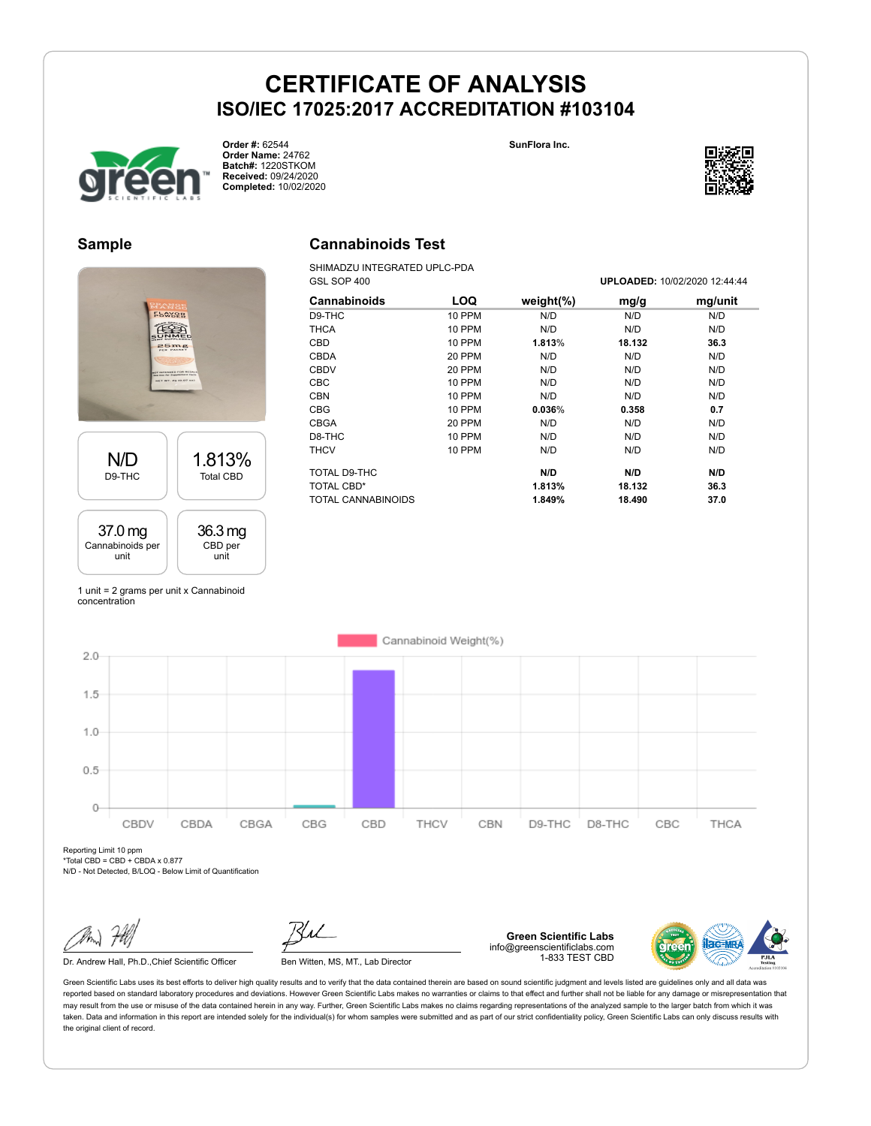**SunFlora Inc.**



**Order #:** 62544 **Order Name:** 24762 **Batch#:** 1220STKOM **Received:** 09/24/2020 **Completed:** 10/02/2020

#### **Sample**



### **Cannabinoids Test**

SHIMADZU INTEGRATED UPLC-PDA GSL SOP 400 **UPLOADED:** 10/02/2020 12:44:44

| UUL UUI TUU   |               |        | <u>UF LUADLD. 10/02/2020 12.77.77</u> |  |  |
|---------------|---------------|--------|---------------------------------------|--|--|
| LOQ           | weight $(\%)$ | mg/g   | mg/unit                               |  |  |
| 10 PPM        | N/D           | N/D    | N/D                                   |  |  |
| <b>10 PPM</b> | N/D           | N/D    | N/D                                   |  |  |
| 10 PPM        | 1.813%        | 18.132 | 36.3                                  |  |  |
| 20 PPM        | N/D           | N/D    | N/D                                   |  |  |
| 20 PPM        | N/D           | N/D    | N/D                                   |  |  |
| 10 PPM        | N/D           | N/D    | N/D                                   |  |  |
| 10 PPM        | N/D           | N/D    | N/D                                   |  |  |
| 10 PPM        | 0.036%        | 0.358  | 0.7                                   |  |  |
| 20 PPM        | N/D           | N/D    | N/D                                   |  |  |
| 10 PPM        | N/D           | N/D    | N/D                                   |  |  |
| 10 PPM        | N/D           | N/D    | N/D                                   |  |  |
|               | N/D           | N/D    | N/D                                   |  |  |
|               | 1.813%        | 18.132 | 36.3                                  |  |  |
|               | 1.849%        | 18.490 | 37.0                                  |  |  |
|               |               |        |                                       |  |  |

1 unit = 2 grams per unit x Cannabinoid concentration



Reporting Limit 10 ppm \*Total CBD = CBD + CBDA x 0.877

N/D - Not Detected, B/LOQ - Below Limit of Quantification

Dr. Andrew Hall, Ph.D., Chief Scientific Officer Ben Witten, MS, MT., Lab Director

**Green Scientific Labs** info@greenscientificlabs.com 1-833 TEST CBD

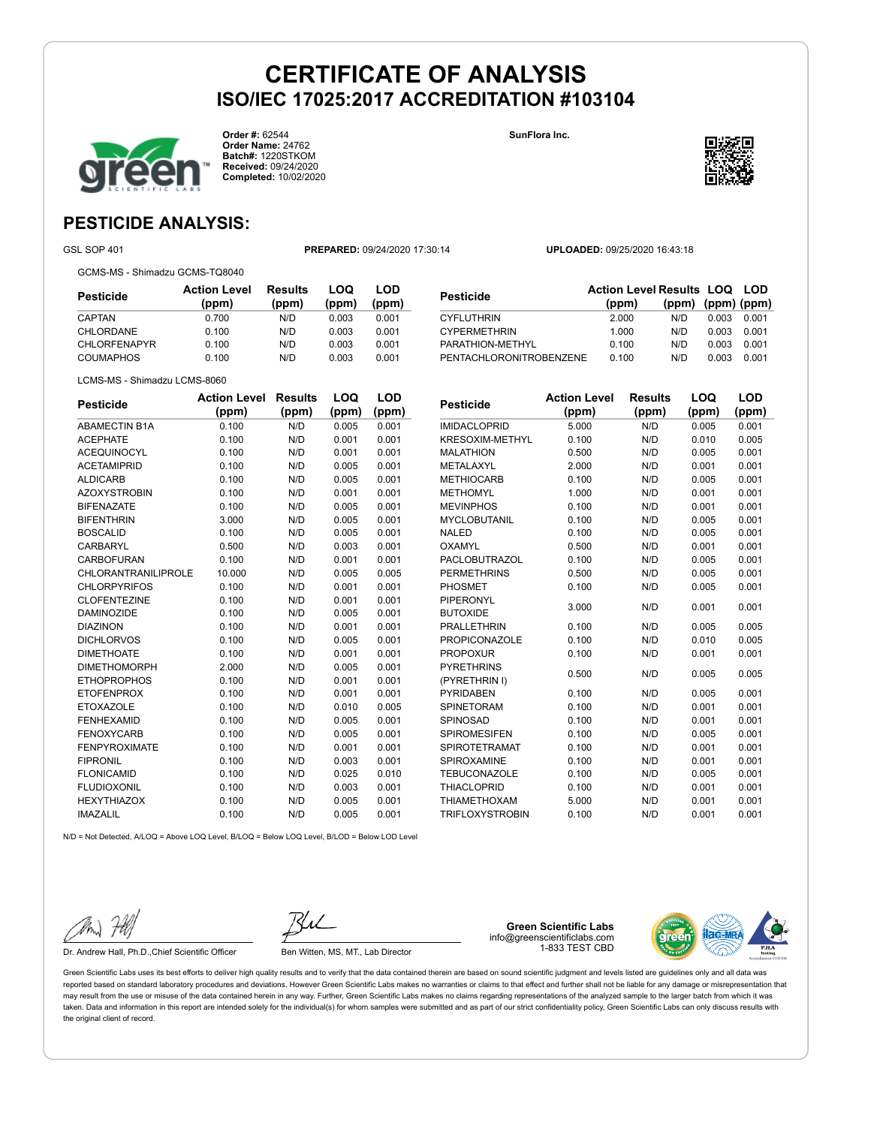**SunFlora Inc.**



**Order #:** 62544 **Order Name:** 24762 **Batch#:** 1220STKOM **Received:** 09/24/2020 **Completed:** 10/02/2020

### **PESTICIDE ANALYSIS:**

GSL SOP 401 **PREPARED:** 09/24/2020 17:30:14 **UPLOADED:** 09/25/2020 16:43:18

GCMS-MS - Shimadzu GCMS-TQ8040

**Pesticide Action Level (ppm) Results (ppm) LOQ (ppm) LOD (ppm)** CAPTAN 0.700 N/D 0.003 0.001 CHLORDANE 0.100 N/D 0.003 0.001 CHLORFENAPYR 0.100 N/D 0.003 0.001 COUMAPHOS 0.100 N/D 0.003 0.001

| Pesticide               | <b>Action Level Results LOQ LOD</b> |                   |       |       |
|-------------------------|-------------------------------------|-------------------|-------|-------|
|                         | (ppm)                               | (ppm) (ppm) (ppm) |       |       |
| CYFLUTHRIN              | 2.000                               | N/D               | 0.003 | 0.001 |
| <b>CYPERMETHRIN</b>     | 1.000                               | N/D               | 0.003 | 0.001 |
| PARATHION-METHYL        | 0.100                               | N/D               | 0.003 | 0.001 |
| PENTACHLORONITROBENZENE | 0.100                               | N/D               | 0.003 | 0.001 |
|                         |                                     |                   |       |       |

|  | LCMS-MS - Shimadzu LCMS-8060 |
|--|------------------------------|
|  |                              |

| <b>Pesticide</b>     | <b>Action Level</b> | <b>Results</b> | LOQ   | LOD   |
|----------------------|---------------------|----------------|-------|-------|
|                      | (ppm)               | (ppm)          | (ppm) | (ppm) |
| <b>ABAMECTIN B1A</b> | 0.100               | N/D            | 0.005 | 0.001 |
| <b>ACEPHATE</b>      | 0.100               | N/D            | 0.001 | 0.001 |
| <b>ACEQUINOCYL</b>   | 0.100               | N/D            | 0.001 | 0.001 |
| <b>ACETAMIPRID</b>   | 0.100               | N/D            | 0.005 | 0.001 |
| <b>ALDICARB</b>      | 0.100               | N/D            | 0.005 | 0.001 |
| <b>AZOXYSTROBIN</b>  | 0.100               | N/D            | 0.001 | 0.001 |
| <b>BIFENAZATE</b>    | 0.100               | N/D            | 0.005 | 0.001 |
| <b>BIFENTHRIN</b>    | 3.000               | N/D            | 0.005 | 0.001 |
| <b>BOSCALID</b>      | 0.100               | N/D            | 0.005 | 0.001 |
| CARBARYL             | 0.500               | N/D            | 0.003 | 0.001 |
| <b>CARBOFURAN</b>    | 0.100               | N/D            | 0.001 | 0.001 |
| CHLORANTRANILIPROLE  | 10.000              | N/D            | 0.005 | 0.005 |
| <b>CHLORPYRIFOS</b>  | 0.100               | N/D            | 0.001 | 0.001 |
| <b>CLOFENTEZINE</b>  | 0.100               | N/D            | 0.001 | 0.001 |
| <b>DAMINOZIDE</b>    | 0.100               | N/D            | 0.005 | 0.001 |
| <b>DIAZINON</b>      | 0.100               | N/D            | 0.001 | 0.001 |
| <b>DICHLORVOS</b>    | 0.100               | N/D            | 0.005 | 0.001 |
| <b>DIMETHOATE</b>    | 0.100               | N/D            | 0.001 | 0.001 |
| <b>DIMETHOMORPH</b>  | 2.000               | N/D            | 0.005 | 0.001 |
| <b>ETHOPROPHOS</b>   | 0.100               | N/D            | 0.001 | 0.001 |
| <b>ETOFENPROX</b>    | 0.100               | N/D            | 0.001 | 0.001 |
| <b>ETOXAZOLE</b>     | 0.100               | N/D            | 0.010 | 0.005 |
| <b>FENHEXAMID</b>    | 0.100               | N/D            | 0.005 | 0.001 |
| <b>FENOXYCARB</b>    | 0.100               | N/D            | 0.005 | 0.001 |
| <b>FENPYROXIMATE</b> | 0.100               | N/D            | 0.001 | 0.001 |
| <b>FIPRONIL</b>      | 0.100               | N/D            | 0.003 | 0.001 |
| <b>FLONICAMID</b>    | 0.100               | N/D            | 0.025 | 0.010 |
| <b>FLUDIOXONIL</b>   | 0.100               | N/D            | 0.003 | 0.001 |
| <b>HEXYTHIAZOX</b>   | 0.100               | N/D            | 0.005 | 0.001 |
| <b>IMAZALIL</b>      | 0.100               | N/D            | 0.005 | 0.001 |

| <b>Pesticide</b>       | <b>Action Level</b> | <b>Results</b> | LOQ   | LOD   |
|------------------------|---------------------|----------------|-------|-------|
|                        | (ppm)               | (ppm)          | (ppm) | (ppm) |
| <b>IMIDACLOPRID</b>    | 5.000               | N/D            | 0.005 | 0.001 |
| <b>KRESOXIM-METHYL</b> | 0.100               | N/D            | 0.010 | 0.005 |
| <b>MALATHION</b>       | 0.500               | N/D            | 0.005 | 0.001 |
| METALAXYL              | 2.000               | N/D            | 0.001 | 0.001 |
| <b>METHIOCARB</b>      | 0.100               | N/D            | 0.005 | 0.001 |
| <b>METHOMYL</b>        | 1.000               | N/D            | 0.001 | 0.001 |
| <b>MEVINPHOS</b>       | 0.100               | N/D            | 0.001 | 0.001 |
| <b>MYCLOBUTANIL</b>    | 0.100               | N/D            | 0.005 | 0.001 |
| <b>NALED</b>           | 0.100               | N/D            | 0.005 | 0.001 |
| OXAMYL                 | 0.500               | N/D            | 0.001 | 0.001 |
| <b>PACLOBUTRAZOL</b>   | 0.100               | N/D            | 0.005 | 0.001 |
| <b>PERMETHRINS</b>     | 0.500               | N/D            | 0.005 | 0.001 |
| <b>PHOSMET</b>         | 0.100               | N/D            | 0.005 | 0.001 |
| PIPERONYL              | 3.000               | N/D            | 0.001 |       |
| <b>BUTOXIDE</b>        |                     |                |       | 0.001 |
| <b>PRALLETHRIN</b>     | 0.100               | N/D            | 0.005 | 0.005 |
| <b>PROPICONAZOLE</b>   | 0.100               | N/D            | 0.010 | 0.005 |
| <b>PROPOXUR</b>        | 0.100               | N/D            | 0.001 | 0.001 |
| <b>PYRETHRINS</b>      | 0.500               | N/D            | 0.005 | 0.005 |
| (PYRETHRIN I)          |                     |                |       |       |
| <b>PYRIDABEN</b>       | 0.100               | N/D            | 0.005 | 0.001 |
| <b>SPINETORAM</b>      | 0.100               | N/D            | 0.001 | 0.001 |
| SPINOSAD               | 0.100               | N/D            | 0.001 | 0.001 |
| <b>SPIROMESIFEN</b>    | 0.100               | N/D            | 0.005 | 0.001 |
| <b>SPIROTETRAMAT</b>   | 0.100               | N/D            | 0.001 | 0.001 |
| SPIROXAMINE            | 0.100               | N/D            | 0.001 | 0.001 |
| <b>TEBUCONAZOLE</b>    | 0.100               | N/D            | 0.005 | 0.001 |
| <b>THIACLOPRID</b>     | 0.100               | N/D            | 0.001 | 0.001 |
| <b>THIAMETHOXAM</b>    | 5.000               | N/D            | 0.001 | 0.001 |
| <b>TRIFLOXYSTROBIN</b> | 0.100               | N/D            | 0.001 | 0.001 |

N/D = Not Detected, A/LOQ = Above LOQ Level, B/LOQ = Below LOQ Level, B/LOD = Below LOD Level

Dr. Andrew Hall, Ph.D., Chief Scientific Officer Ben Witten, MS, MT., Lab Director

**Green Scientific Labs** info@greenscientificlabs.com 1-833 TEST CBD

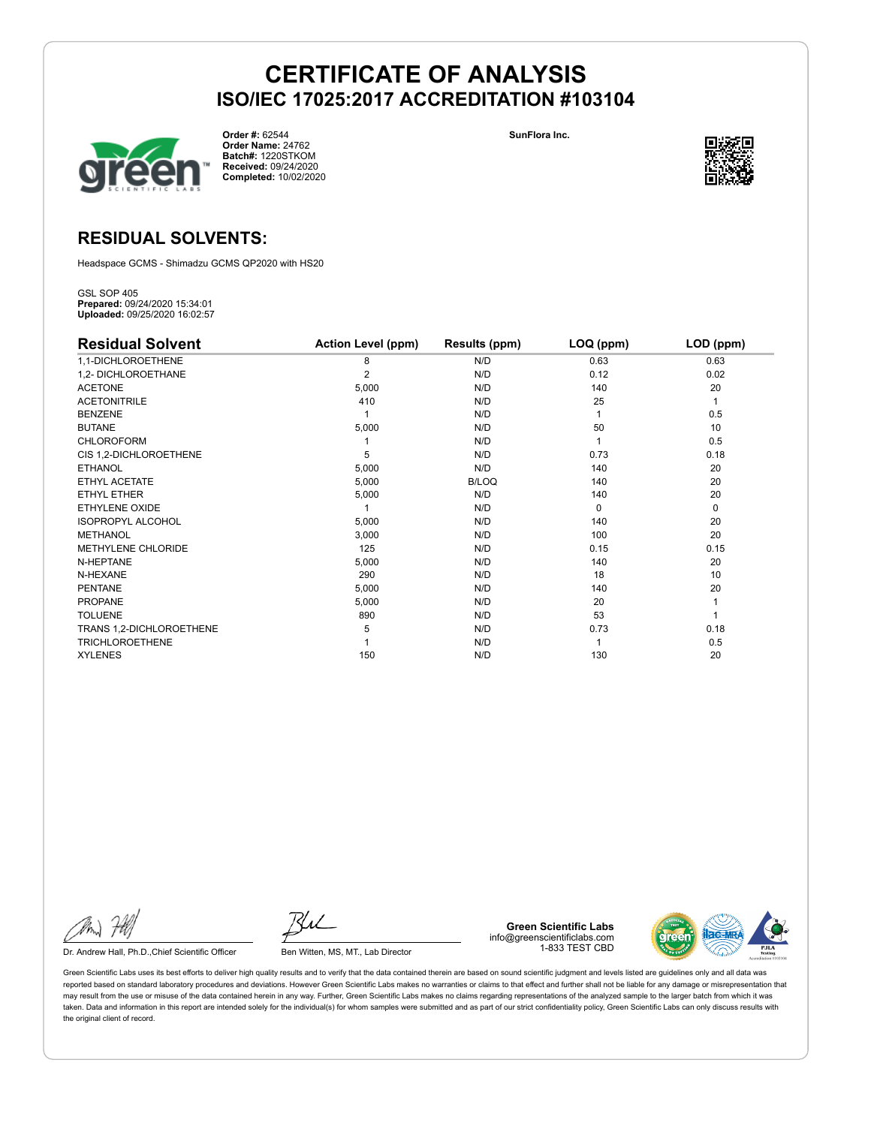**SunFlora Inc.**



**Order #:** 62544 **Order Name:** 24762 **Batch#:** 1220STKOM **Received:** 09/24/2020 **Completed:** 10/02/2020



#### **RESIDUAL SOLVENTS:**

Headspace GCMS - Shimadzu GCMS QP2020 with HS20

GSL SOP 405 **Prepared:** 09/24/2020 15:34:01 **Uploaded:** 09/25/2020 16:02:57

| <b>Residual Solvent</b>  | <b>Action Level (ppm)</b> | Results (ppm) | $LOQ$ (ppm) | LOD (ppm) |
|--------------------------|---------------------------|---------------|-------------|-----------|
| 1,1-DICHLOROETHENE       | 8                         | N/D           | 0.63        | 0.63      |
| 1,2- DICHLOROETHANE      | $\overline{2}$            | N/D           | 0.12        | 0.02      |
| <b>ACETONE</b>           | 5,000                     | N/D           | 140         | 20        |
| <b>ACETONITRILE</b>      | 410                       | N/D           | 25          | 1         |
| <b>BENZENE</b>           |                           | N/D           |             | 0.5       |
| <b>BUTANE</b>            | 5,000                     | N/D           | 50          | 10        |
| <b>CHLOROFORM</b>        |                           | N/D           |             | 0.5       |
| CIS 1,2-DICHLOROETHENE   | 5                         | N/D           | 0.73        | 0.18      |
| <b>ETHANOL</b>           | 5,000                     | N/D           | 140         | 20        |
| ETHYL ACETATE            | 5,000                     | <b>B/LOQ</b>  | 140         | 20        |
| <b>ETHYL ETHER</b>       | 5,000                     | N/D           | 140         | 20        |
| ETHYLENE OXIDE           |                           | N/D           | $\Omega$    | 0         |
| <b>ISOPROPYL ALCOHOL</b> | 5,000                     | N/D           | 140         | 20        |
| <b>METHANOL</b>          | 3,000                     | N/D           | 100         | 20        |
| METHYLENE CHLORIDE       | 125                       | N/D           | 0.15        | 0.15      |
| N-HEPTANE                | 5,000                     | N/D           | 140         | 20        |
| N-HEXANE                 | 290                       | N/D           | 18          | 10        |
| <b>PENTANE</b>           | 5,000                     | N/D           | 140         | 20        |
| <b>PROPANE</b>           | 5,000                     | N/D           | 20          |           |
| <b>TOLUENE</b>           | 890                       | N/D           | 53          |           |
| TRANS 1,2-DICHLOROETHENE | 5                         | N/D           | 0.73        | 0.18      |
| <b>TRICHLOROETHENE</b>   |                           | N/D           |             | 0.5       |
| <b>XYLENES</b>           | 150                       | N/D           | 130         | 20        |

Dr. Andrew Hall, Ph.D., Chief Scientific Officer Ben Witten, MS, MT., Lab Director

**Green Scientific Labs** info@greenscientificlabs.com 1-833 TEST CBD

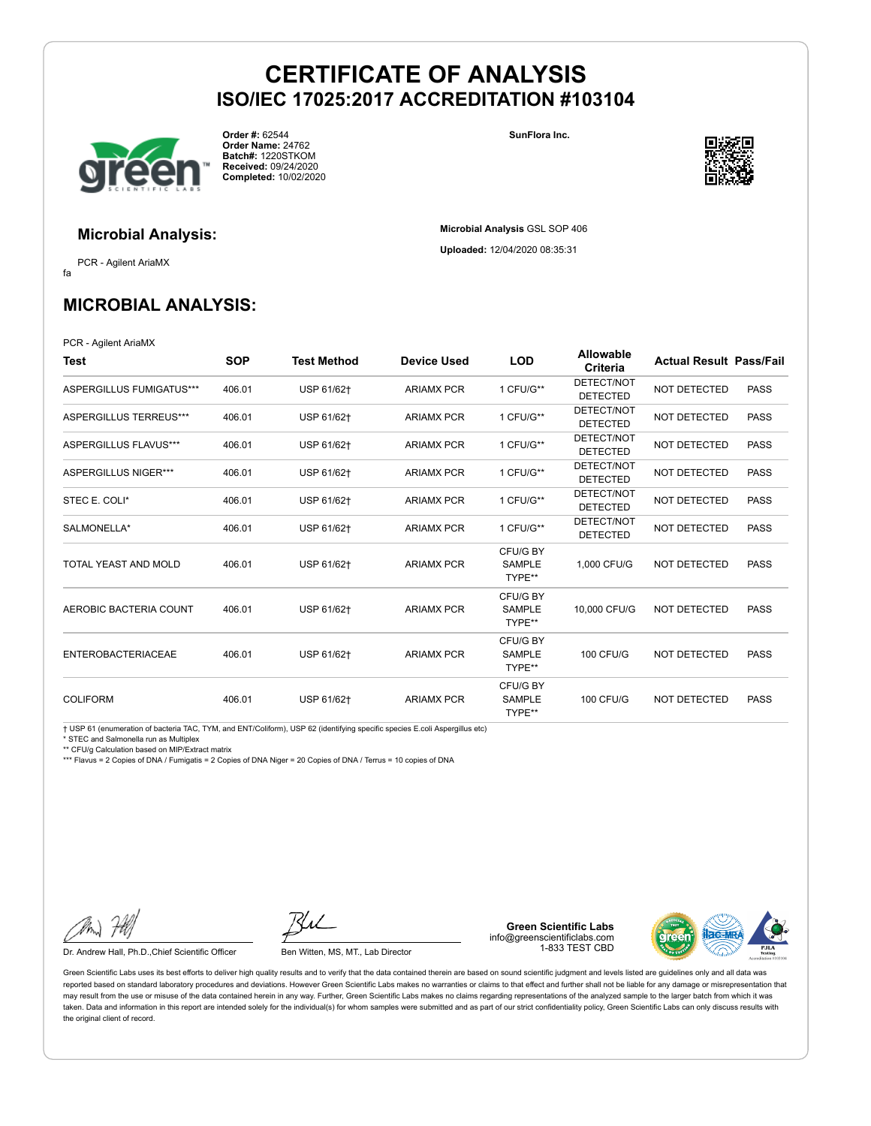

**Order #:** 62544 **Order Name:** 24762 **Batch#:** 1220STKOM **Received:** 09/24/2020 **Completed:** 10/02/2020 **SunFlora Inc.**

**Microbial Analysis** GSL SOP 406 **Uploaded:** 12/04/2020 08:35:31



**Microbial Analysis:**

fa PCR - Agilent AriaMX

### **MICROBIAL ANALYSIS:**

PCR - Agilent AriaMX

| Test                      | <b>SOP</b> | <b>Test Method</b> | Device Used       | <b>LOD</b>                          | Allowable<br>Criteria         | <b>Actual Result Pass/Fail</b> |             |
|---------------------------|------------|--------------------|-------------------|-------------------------------------|-------------------------------|--------------------------------|-------------|
| ASPERGILLUS FUMIGATUS***  | 406.01     | USP 61/62+         | <b>ARIAMX PCR</b> | 1 CFU/G**                           | DETECT/NOT<br><b>DETECTED</b> | <b>NOT DETECTED</b>            | <b>PASS</b> |
| ASPERGILLUS TERREUS***    | 406.01     | USP 61/62+         | <b>ARIAMX PCR</b> | 1 CFU/G**                           | DETECT/NOT<br><b>DETECTED</b> | NOT DETECTED                   | <b>PASS</b> |
| ASPERGILLUS FLAVUS***     | 406.01     | USP 61/62+         | <b>ARIAMX PCR</b> | 1 CFU/G**                           | DETECT/NOT<br><b>DETECTED</b> | <b>NOT DETECTED</b>            | <b>PASS</b> |
| ASPERGILLUS NIGER***      | 406.01     | USP 61/62+         | <b>ARIAMX PCR</b> | 1 CFU/G**                           | DETECT/NOT<br><b>DETECTED</b> | NOT DETECTED                   | <b>PASS</b> |
| STEC E. COLI*             | 406.01     | USP 61/62+         | <b>ARIAMX PCR</b> | 1 CFU/G**                           | DETECT/NOT<br><b>DETECTED</b> | <b>NOT DETECTED</b>            | <b>PASS</b> |
| SALMONELLA*               | 406.01     | USP 61/62+         | <b>ARIAMX PCR</b> | 1 CFU/G**                           | DETECT/NOT<br><b>DETECTED</b> | <b>NOT DETECTED</b>            | <b>PASS</b> |
| TOTAL YEAST AND MOLD      | 406.01     | USP 61/62+         | <b>ARIAMX PCR</b> | CFU/G BY<br><b>SAMPLE</b><br>TYPE** | 1.000 CFU/G                   | NOT DETECTED                   | <b>PASS</b> |
| AEROBIC BACTERIA COUNT    | 406.01     | USP 61/62+         | <b>ARIAMX PCR</b> | CFU/G BY<br>SAMPLE<br>TYPE**        | 10,000 CFU/G                  | NOT DETECTED                   | <b>PASS</b> |
| <b>ENTEROBACTERIACEAE</b> | 406.01     | USP 61/62+         | <b>ARIAMX PCR</b> | CFU/G BY<br><b>SAMPLE</b><br>TYPE** | <b>100 CFU/G</b>              | NOT DETECTED                   | <b>PASS</b> |
| <b>COLIFORM</b>           | 406.01     | USP 61/62+         | <b>ARIAMX PCR</b> | CFU/G BY<br><b>SAMPLE</b><br>TYPE** | <b>100 CFU/G</b>              | NOT DETECTED                   | <b>PASS</b> |

† USP 61 (enumeration of bacteria TAC, TYM, and ENT/Coliform), USP 62 (identifying specific species E.coli Aspergillus etc)

\* STEC and Salmonella run as Multiplex

\*\* CFU/g Calculation based on MIP/Extract matrix

\*\*\* Flavus = 2 Copies of DNA / Fumigatis = 2 Copies of DNA Niger = 20 Copies of DNA / Terrus = 10 copies of DNA

Dr. Andrew Hall, Ph.D., Chief Scientific Officer Ben Witten, MS, MT., Lab Director

**Green Scientific Labs** info@greenscientificlabs.com 1-833 TEST CBD